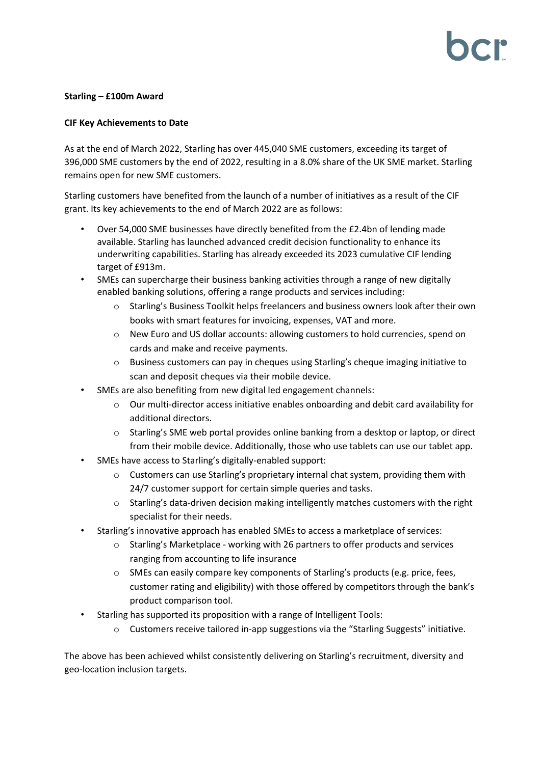## **Starling – £100m Award**

### **CIF Key Achievements to Date**

As at the end of March 2022, Starling has over 445,040 SME customers, exceeding its target of 396,000 SME customers by the end of 2022, resulting in a 8.0% share of the UK SME market. Starling remains open for new SME customers.

Starling customers have benefited from the launch of a number of initiatives as a result of the CIF grant. Its key achievements to the end of March 2022 are as follows:

- Over 54,000 SME businesses have directly benefited from the £2.4bn of lending made available. Starling has launched advanced credit decision functionality to enhance its underwriting capabilities. Starling has already exceeded its 2023 cumulative CIF lending target of £913m.
- SMEs can supercharge their business banking activities through a range of new digitally enabled banking solutions, offering a range products and services including:
	- o Starling's Business Toolkit helps freelancers and business owners look after their own books with smart features for invoicing, expenses, VAT and more.
	- $\circ$  New Euro and US dollar accounts: allowing customers to hold currencies, spend on cards and make and receive payments.
	- o Business customers can pay in cheques using Starling's cheque imaging initiative to scan and deposit cheques via their mobile device.
- SMEs are also benefiting from new digital led engagement channels:
	- o Our multi-director access initiative enables onboarding and debit card availability for additional directors.
	- o Starling's SME web portal provides online banking from a desktop or laptop, or direct from their mobile device. Additionally, those who use tablets can use our tablet app.
- SMEs have access to Starling's digitally-enabled support:
	- $\circ$  Customers can use Starling's proprietary internal chat system, providing them with 24/7 customer support for certain simple queries and tasks.
	- $\circ$  Starling's data-driven decision making intelligently matches customers with the right specialist for their needs.
- Starling's innovative approach has enabled SMEs to access a marketplace of services:
	- $\circ$  Starling's Marketplace working with 26 partners to offer products and services ranging from accounting to life insurance
	- $\circ$  SMEs can easily compare key components of Starling's products (e.g. price, fees, customer rating and eligibility) with those offered by competitors through the bank's product comparison tool.
- Starling has supported its proposition with a range of Intelligent Tools:
	- $\circ$  Customers receive tailored in-app suggestions via the "Starling Suggests" initiative.

The above has been achieved whilst consistently delivering on Starling's recruitment, diversity and geo-location inclusion targets.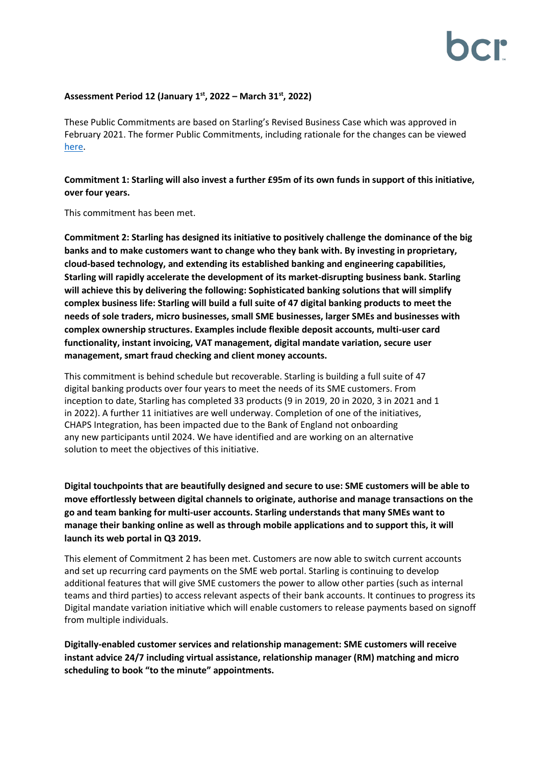# **Assessment Period 12 (January 1 st, 2022 – March 31st, 2022)**

These Public Commitments are based on Starling's Revised Business Case which was approved in February 2021. The former Public Commitments, including rationale for the changes can be viewed [here.](https://bcr-ltd.com/wp-content/uploads/2021/02/Starling-Bank-Limited-Public-Commitment-Update_Q420v1.0.pdf)

**Commitment 1: Starling will also invest a further £95m of its own funds in support of this initiative, over four years.**

This commitment has been met.

**Commitment 2: Starling has designed its initiative to positively challenge the dominance of the big banks and to make customers want to change who they bank with. By investing in proprietary, cloud-based technology, and extending its established banking and engineering capabilities, Starling will rapidly accelerate the development of its market-disrupting business bank. Starling will achieve this by delivering the following: Sophisticated banking solutions that will simplify complex business life: Starling will build a full suite of 47 digital banking products to meet the needs of sole traders, micro businesses, small SME businesses, larger SMEs and businesses with complex ownership structures. Examples include flexible deposit accounts, multi-user card functionality, instant invoicing, VAT management, digital mandate variation, secure user management, smart fraud checking and client money accounts.**

This commitment is behind schedule but recoverable. Starling is building a full suite of 47 digital banking products over four years to meet the needs of its SME customers. From inception to date, Starling has completed 33 products (9 in 2019, 20 in 2020, 3 in 2021 and 1 in 2022). A further 11 initiatives are well underway. Completion of one of the initiatives, CHAPS Integration, has been impacted due to the Bank of England not onboarding any new participants until 2024. We have identified and are working on an alternative solution to meet the objectives of this initiative.

**Digital touchpoints that are beautifully designed and secure to use: SME customers will be able to move effortlessly between digital channels to originate, authorise and manage transactions on the go and team banking for multi-user accounts. Starling understands that many SMEs want to manage their banking online as well as through mobile applications and to support this, it will launch its web portal in Q3 2019.**

This element of Commitment 2 has been met. Customers are now able to switch current accounts and set up recurring card payments on the SME web portal. Starling is continuing to develop additional features that will give SME customers the power to allow other parties (such as internal teams and third parties) to access relevant aspects of their bank accounts. It continues to progress its Digital mandate variation initiative which will enable customers to release payments based on signoff from multiple individuals.

**Digitally-enabled customer services and relationship management: SME customers will receive instant advice 24/7 including virtual assistance, relationship manager (RM) matching and micro scheduling to book "to the minute" appointments.**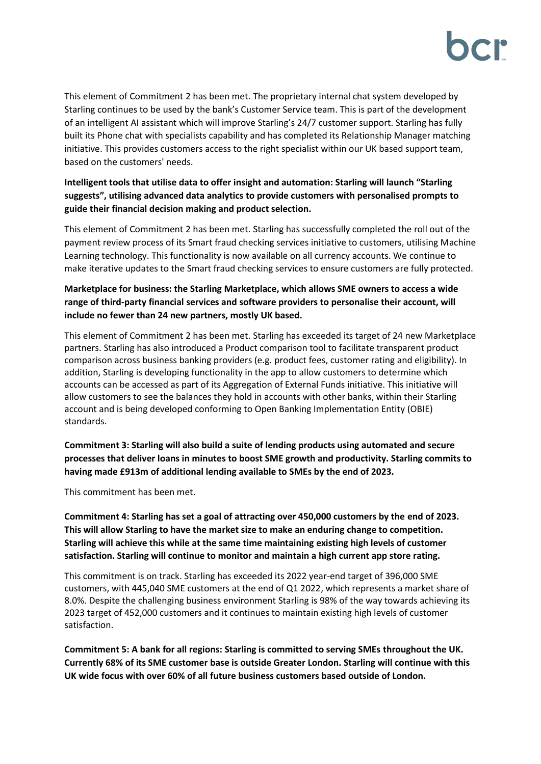This element of Commitment 2 has been met. The proprietary internal chat system developed by Starling continues to be used by the bank's Customer Service team. This is part of the development of an intelligent AI assistant which will improve Starling's 24/7 customer support. Starling has fully built its Phone chat with specialists capability and has completed its Relationship Manager matching initiative. This provides customers access to the right specialist within our UK based support team, based on the customers' needs.

# **Intelligent tools that utilise data to offer insight and automation: Starling will launch "Starling suggests", utilising advanced data analytics to provide customers with personalised prompts to guide their financial decision making and product selection.**

This element of Commitment 2 has been met. Starling has successfully completed the roll out of the payment review process of its Smart fraud checking services initiative to customers, utilising Machine Learning technology. This functionality is now available on all currency accounts. We continue to make iterative updates to the Smart fraud checking services to ensure customers are fully protected.

# **Marketplace for business: the Starling Marketplace, which allows SME owners to access a wide range of third-party financial services and software providers to personalise their account, will include no fewer than 24 new partners, mostly UK based.**

This element of Commitment 2 has been met. Starling has exceeded its target of 24 new Marketplace partners. Starling has also introduced a Product comparison tool to facilitate transparent product comparison across business banking providers (e.g. product fees, customer rating and eligibility). In addition, Starling is developing functionality in the app to allow customers to determine which accounts can be accessed as part of its Aggregation of External Funds initiative. This initiative will allow customers to see the balances they hold in accounts with other banks, within their Starling account and is being developed conforming to Open Banking Implementation Entity (OBIE) standards.

**Commitment 3: Starling will also build a suite of lending products using automated and secure processes that deliver loans in minutes to boost SME growth and productivity. Starling commits to having made £913m of additional lending available to SMEs by the end of 2023.**

This commitment has been met.

**Commitment 4: Starling has set a goal of attracting over 450,000 customers by the end of 2023. This will allow Starling to have the market size to make an enduring change to competition. Starling will achieve this while at the same time maintaining existing high levels of customer satisfaction. Starling will continue to monitor and maintain a high current app store rating.**

This commitment is on track. Starling has exceeded its 2022 year-end target of 396,000 SME customers, with 445,040 SME customers at the end of Q1 2022, which represents a market share of 8.0%. Despite the challenging business environment Starling is 98% of the way towards achieving its 2023 target of 452,000 customers and it continues to maintain existing high levels of customer satisfaction.

**Commitment 5: A bank for all regions: Starling is committed to serving SMEs throughout the UK. Currently 68% of its SME customer base is outside Greater London. Starling will continue with this UK wide focus with over 60% of all future business customers based outside of London.**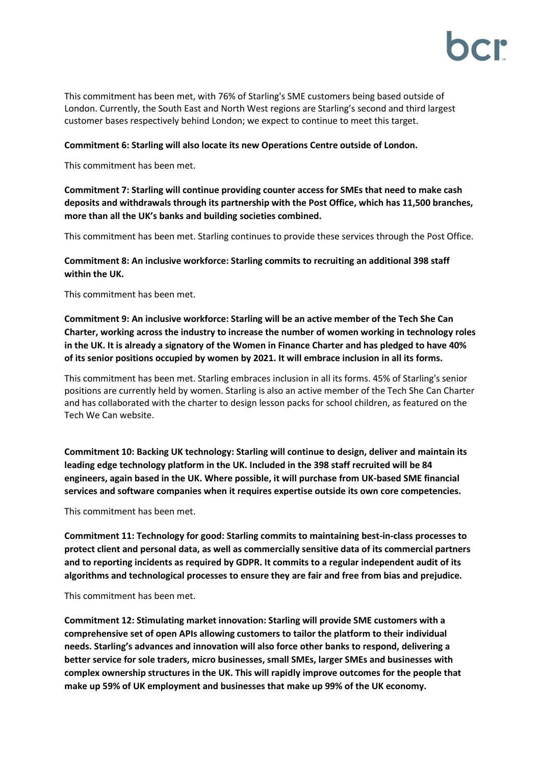

This commitment has been met, with 76% of Starling's SME customers being based outside of London. Currently, the South East and North West regions are Starling's second and third largest customer bases respectively behind London; we expect to continue to meet this target.

#### **Commitment 6: Starling will also locate its new Operations Centre outside of London.**

This commitment has been met.

## **Commitment 7: Starling will continue providing counter access for SMEs that need to make cash deposits and withdrawals through its partnership with the Post Office, which has 11,500 branches, more than all the UK's banks and building societies combined.**

This commitment has been met. Starling continues to provide these services through the Post Office.

# **Commitment 8: An inclusive workforce: Starling commits to recruiting an additional 398 staff within the UK.**

This commitment has been met.

**Commitment 9: An inclusive workforce: Starling will be an active member of the Tech She Can Charter, working across the industry to increase the number of women working in technology roles in the UK. It is already a signatory of the Women in Finance Charter and has pledged to have 40% of its senior positions occupied by women by 2021. It will embrace inclusion in all its forms.**

This commitment has been met. Starling embraces inclusion in all its forms. 45% of Starling's senior positions are currently held by women. Starling is also an active member of the Tech She Can Charter and has collaborated with the charter to design lesson packs for school children, as featured on the Tech We Can website.

**Commitment 10: Backing UK technology: Starling will continue to design, deliver and maintain its leading edge technology platform in the UK. Included in the 398 staff recruited will be 84 engineers, again based in the UK. Where possible, it will purchase from UK-based SME financial services and software companies when it requires expertise outside its own core competencies.**

This commitment has been met.

**Commitment 11: Technology for good: Starling commits to maintaining best-in-class processes to protect client and personal data, as well as commercially sensitive data of its commercial partners and to reporting incidents as required by GDPR. It commits to a regular independent audit of its algorithms and technological processes to ensure they are fair and free from bias and prejudice.**

#### This commitment has been met.

**Commitment 12: Stimulating market innovation: Starling will provide SME customers with a comprehensive set of open APIs allowing customers to tailor the platform to their individual needs. Starling's advances and innovation will also force other banks to respond, delivering a better service for sole traders, micro businesses, small SMEs, larger SMEs and businesses with complex ownership structures in the UK. This will rapidly improve outcomes for the people that make up 59% of UK employment and businesses that make up 99% of the UK economy.**